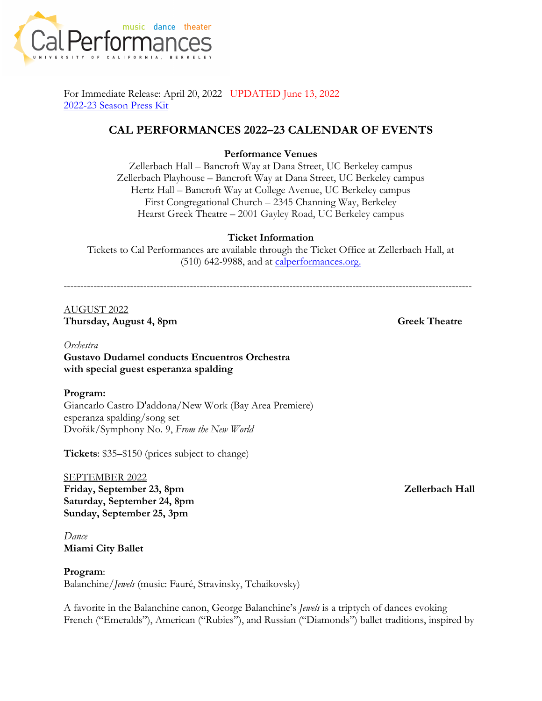

For Immediate Release: April 20, 2022 UPDATED June 13, 2022 2022-23 Season Press Kit

# **CAL PERFORMANCES 2022–23 CALENDAR OF EVENTS**

### **Performance Venues**

Zellerbach Hall – Bancroft Way at Dana Street, UC Berkeley campus Zellerbach Playhouse – Bancroft Way at Dana Street, UC Berkeley campus Hertz Hall – Bancroft Way at College Avenue, UC Berkeley campus First Congregational Church – 2345 Channing Way, Berkeley Hearst Greek Theatre – 2001 Gayley Road, UC Berkeley campus

### **Ticket Information**

Tickets to Cal Performances are available through the Ticket Office at Zellerbach Hall, at (510) 642-9988, and at calperformances.org.

---------------------------------------------------------------------------------------------------------------------------

# AUGUST 2022 **Thursday, August 4, 8pm Greek Theatre**

# *Orchestra* **Gustavo Dudamel conducts Encuentros Orchestra with special guest esperanza spalding**

# **Program:**

Giancarlo Castro D'addona/New Work (Bay Area Premiere) esperanza spalding/song set Dvořák/Symphony No. 9, *From the New World*

**Tickets**: \$35–\$150 (prices subject to change)

SEPTEMBER 2022 Friday, September 23, 8pm Zellerbach Hall **Saturday, September 24, 8pm Sunday, September 25, 3pm**

*Dance* **Miami City Ballet**

**Program**: Balanchine/*Jewels* (music: Fauré, Stravinsky, Tchaikovsky)

A favorite in the Balanchine canon, George Balanchine's *Jewels* is a triptych of dances evoking French ("Emeralds"), American ("Rubies"), and Russian ("Diamonds") ballet traditions, inspired by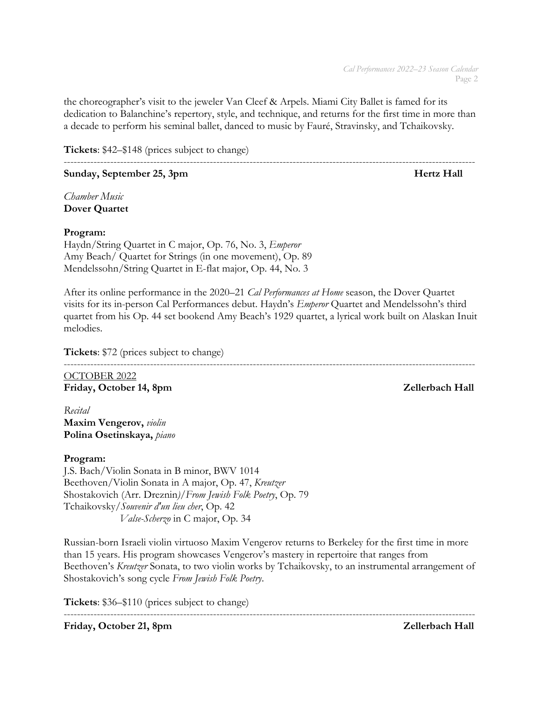the choreographer's visit to the jeweler Van Cleef & Arpels. Miami City Ballet is famed for its dedication to Balanchine's repertory, style, and technique, and returns for the first time in more than a decade to perform his seminal ballet, danced to music by Fauré, Stravinsky, and Tchaikovsky.

----------------------------------------------------------------------------------------------------------------------------

**Tickets**: \$42–\$148 (prices subject to change)

**Sunday, September 25, 3pm Hertz Hall** 

*Chamber Music* **Dover Quartet**

# **Program:**

Haydn/String Quartet in C major, Op. 76, No. 3, *Emperor* Amy Beach/ Quartet for Strings (in one movement), Op. 89 Mendelssohn/String Quartet in E-flat major, Op. 44, No. 3

 $-1\leq i\leq n-1$ 

After its online performance in the 2020–21 *Cal Performances at Home* season, the Dover Quartet visits for its in-person Cal Performances debut. Haydn's *Emperor* Quartet and Mendelssohn's third quartet from his Op. 44 set bookend Amy Beach's 1929 quartet, a lyrical work built on Alaskan Inuit melodies.

**Tickets**: \$72 (prices subject to change)

OCTOBER 2022 Friday, October 14, 8pm  $\blacksquare$ 

*Recital* **Maxim Vengerov,** *violin* **Polina Osetinskaya,** *piano*

# **Program:**

J.S. Bach/Violin Sonata in B minor, BWV 1014 Beethoven/Violin Sonata in A major, Op. 47, *Kreutzer*  Shostakovich (Arr. Dreznin*)/From Jewish Folk Poetry*, Op. 79 Tchaikovsky/*Souvenir d'un lieu cher*, Op. 42  *Valse-Scherzo* in C major, Op. 34

Russian-born Israeli violin virtuoso Maxim Vengerov returns to Berkeley for the first time in more than 15 years. His program showcases Vengerov's mastery in repertoire that ranges from Beethoven's *Kreutzer* Sonata, to two violin works by Tchaikovsky, to an instrumental arrangement of Shostakovich's song cycle *From Jewish Folk Poetry*.

----------------------------------------------------------------------------------------------------------------------------

**Tickets**: \$36–\$110 (prices subject to change)

Friday, October 21, 8pm  $\blacksquare$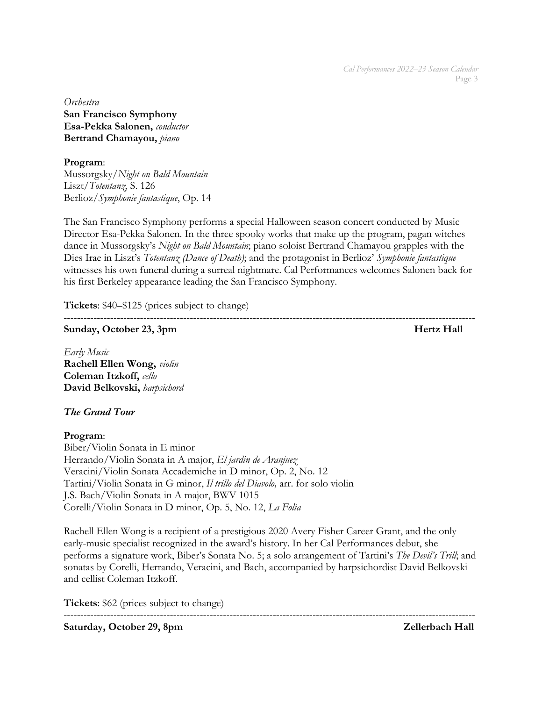*Orchestra* **San Francisco Symphony Esa-Pekka Salonen,** *conductor* **Bertrand Chamayou,** *piano*

**Program**: Mussorgsky/*Night on Bald Mountain* Liszt/*Totentanz*, S. 126 Berlioz/*Symphonie fantastique*, Op. 14

The San Francisco Symphony performs a special Halloween season concert conducted by Music Director Esa-Pekka Salonen. In the three spooky works that make up the program, pagan witches dance in Mussorgsky's *Night on Bald Mountain*; piano soloist Bertrand Chamayou grapples with the Dies Irae in Liszt's *Totentanz (Dance of Death)*; and the protagonist in Berlioz' *Symphonie fantastique* witnesses his own funeral during a surreal nightmare. Cal Performances welcomes Salonen back for his first Berkeley appearance leading the San Francisco Symphony.

**Tickets**: \$40–\$125 (prices subject to change)

----------------------------------------------------------------------------------------------------------------------------

**Sunday, October 23, 3pm Hertz Hall** 

*Early Music* **Rachell Ellen Wong,** *violin* **Coleman Itzkoff,** *cello* **David Belkovski,** *harpsichord*

# *The Grand Tour*

**Program**: Biber/Violin Sonata in E minor Herrando/Violin Sonata in A major, *El jardin de Aranjuez*  Veracini/Violin Sonata Accademiche in D minor, Op. 2, No. 12 Tartini/Violin Sonata in G minor, *Il trillo del Diavolo,* arr. for solo violin J.S. Bach/Violin Sonata in A major, BWV 1015 Corelli/Violin Sonata in D minor, Op. 5, No. 12, *La Folia*

----------------------------------------------------------------------------------------------------------------------------

Rachell Ellen Wong is a recipient of a prestigious 2020 Avery Fisher Career Grant, and the only early-music specialist recognized in the award's history. In her Cal Performances debut, she performs a signature work, Biber's Sonata No. 5; a solo arrangement of Tartini's *The Devil's Trill*; and sonatas by Corelli, Herrando, Veracini, and Bach, accompanied by harpsichordist David Belkovski and cellist Coleman Itzkoff.

**Tickets**: \$62 (prices subject to change)

Saturday, October 29, 8pm  $\blacksquare$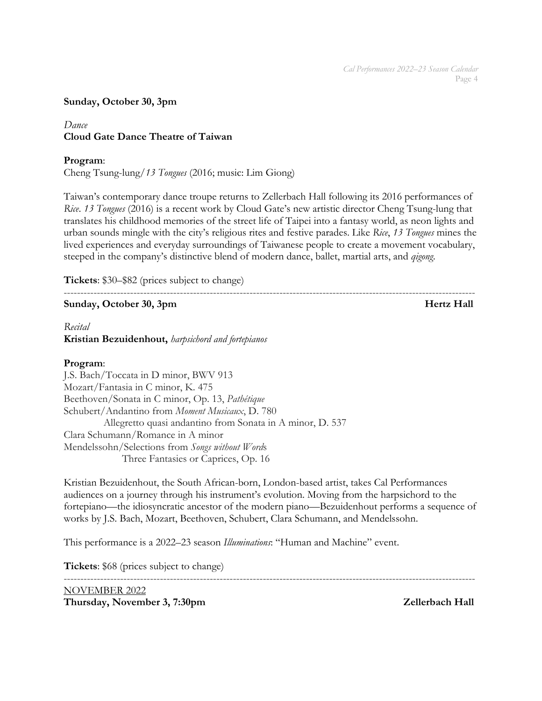### **Sunday, October 30, 3pm**

# *Dance* **Cloud Gate Dance Theatre of Taiwan**

### **Program**:

Cheng Tsung-lung/*13 Tongues* (2016; music: Lim Giong)

Taiwan's contemporary dance troupe returns to Zellerbach Hall following its 2016 performances of *Rice*. *13 Tongues* (2016) is a recent work by Cloud Gate's new artistic director Cheng Tsung-lung that translates his childhood memories of the street life of Taipei into a fantasy world, as neon lights and urban sounds mingle with the city's religious rites and festive parades. Like *Rice*, *13 Tongues* mines the lived experiences and everyday surroundings of Taiwanese people to create a movement vocabulary, steeped in the company's distinctive blend of modern dance, ballet, martial arts, and *qigong*.

----------------------------------------------------------------------------------------------------------------------------

**Tickets**: \$30–\$82 (prices subject to change)

# **Sunday, October 30, 3pm Hertz Hall**

*Recital* **Kristian Bezuidenhout,** *harpsichord and fortepianos*

### **Program**:

J.S. Bach/Toccata in D minor, BWV 913 Mozart/Fantasia in C minor, K. 475 Beethoven/Sonata in C minor, Op. 13, *Pathétique* Schubert/Andantino from *Moment Musicaux*, D. 780 Allegretto quasi andantino from Sonata in A minor, D. 537 Clara Schumann/Romance in A minor Mendelssohn/Selections from *Songs without Word*s Three Fantasies or Caprices, Op. 16

Kristian Bezuidenhout, the South African-born, London-based artist, takes Cal Performances audiences on a journey through his instrument's evolution. Moving from the harpsichord to the fortepiano—the idiosyncratic ancestor of the modern piano—Bezuidenhout performs a sequence of works by J.S. Bach, Mozart, Beethoven, Schubert, Clara Schumann, and Mendelssohn.

This performance is a 2022–23 season *Illuminations*: "Human and Machine" event.

**Tickets**: \$68 (prices subject to change)

---------------------------------------------------------------------------------------------------------------------------- NOVEMBER 2022

**Thursday, November 3, 7:30pm 2ellerbach Hall**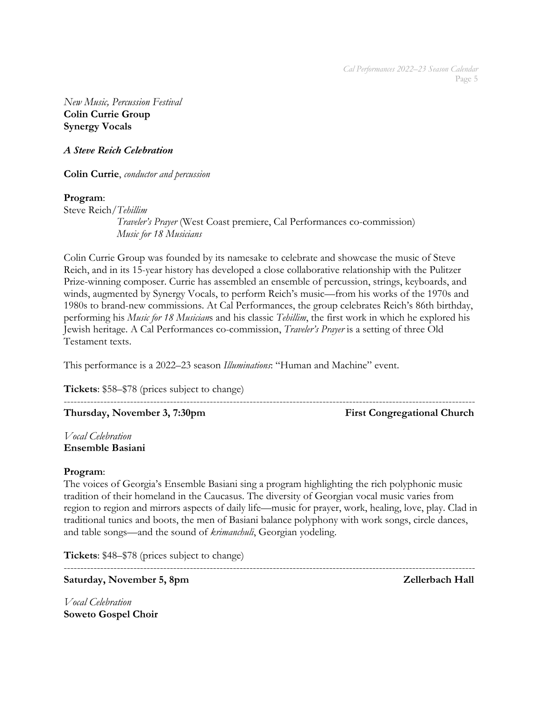*New Music, Percussion Festival* **Colin Currie Group Synergy Vocals** 

*A Steve Reich Celebration*

**Colin Currie**, *conductor and percussion*

### **Program**:

Steve Reich/*Tehillim Traveler's Prayer* (West Coast premiere, Cal Performances co-commission)  *Music for 18 Musicians*

Colin Currie Group was founded by its namesake to celebrate and showcase the music of Steve Reich, and in its 15-year history has developed a close collaborative relationship with the Pulitzer Prize-winning composer. Currie has assembled an ensemble of percussion, strings, keyboards, and winds, augmented by Synergy Vocals, to perform Reich's music—from his works of the 1970s and 1980s to brand-new commissions. At Cal Performances, the group celebrates Reich's 86th birthday, performing his *Music for 18 Musician*s and his classic *Tehillim*, the first work in which he explored his Jewish heritage. A Cal Performances co-commission, *Traveler's Prayer* is a setting of three Old Testament texts.

----------------------------------------------------------------------------------------------------------------------------

This performance is a 2022–23 season *Illuminations*: "Human and Machine" event.

**Tickets**: \$58–\$78 (prices subject to change)

**Thursday, November 3, 7:30pm** First Congregational Church

*Vocal Celebration* **Ensemble Basiani**

# **Program**:

The voices of Georgia's Ensemble Basiani sing a program highlighting the rich polyphonic music tradition of their homeland in the Caucasus. The diversity of Georgian vocal music varies from region to region and mirrors aspects of daily life—music for prayer, work, healing, love, play. Clad in traditional tunics and boots, the men of Basiani balance polyphony with work songs, circle dances, and table songs—and the sound of *krimanchuli*, Georgian yodeling.

**Tickets**: \$48–\$78 (prices subject to change)

---------------------------------------------------------------------------------------------------------------------------- Saturday, November 5, 8pm **Zellerbach Hall** 

*Vocal Celebration* **Soweto Gospel Choir**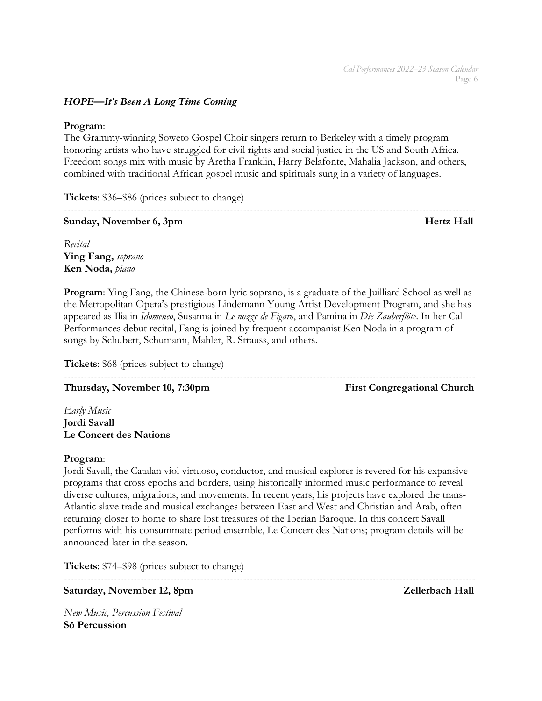# *HOPE—It's Been A Long Time Coming*

### **Program**:

The Grammy-winning Soweto Gospel Choir singers return to Berkeley with a timely program honoring artists who have struggled for civil rights and social justice in the US and South Africa. Freedom songs mix with music by Aretha Franklin, Harry Belafonte, Mahalia Jackson, and others, combined with traditional African gospel music and spirituals sung in a variety of languages.

----------------------------------------------------------------------------------------------------------------------------

**Tickets**: \$36–\$86 (prices subject to change)

# **Sunday, November 6, 3pm discriming the set of the set of the set of the Hertz Hall**

*Recital* **Ying Fang,** *soprano* **Ken Noda,** *piano*

**Program**: Ying Fang, the Chinese-born lyric soprano, is a graduate of the Juilliard School as well as the Metropolitan Opera's prestigious Lindemann Young Artist Development Program, and she has appeared as Ilia in *Idomeneo*, Susanna in *Le nozze de Figaro*, and Pamina in *Die Zauberflöte*. In her Cal Performances debut recital, Fang is joined by frequent accompanist Ken Noda in a program of songs by Schubert, Schumann, Mahler, R. Strauss, and others.

**Tickets**: \$68 (prices subject to change)

---------------------------------------------------------------------------------------------------------------------------- **Thursday, November 10, 7:30pm** First Congregational Church

*Early Music* **Jordi Savall Le Concert des Nations**

# **Program**:

Jordi Savall, the Catalan viol virtuoso, conductor, and musical explorer is revered for his expansive programs that cross epochs and borders, using historically informed music performance to reveal diverse cultures, migrations, and movements. In recent years, his projects have explored the trans-Atlantic slave trade and musical exchanges between East and West and Christian and Arab, often returning closer to home to share lost treasures of the Iberian Baroque. In this concert Savall performs with his consummate period ensemble, Le Concert des Nations; program details will be announced later in the season.

**Tickets**: \$74–\$98 (prices subject to change)

----------------------------------------------------------------------------------------------------------------------------

Saturday, November 12, 8pm  $\blacksquare$ 

*New Music, Percussion Festival* **Sō Percussion**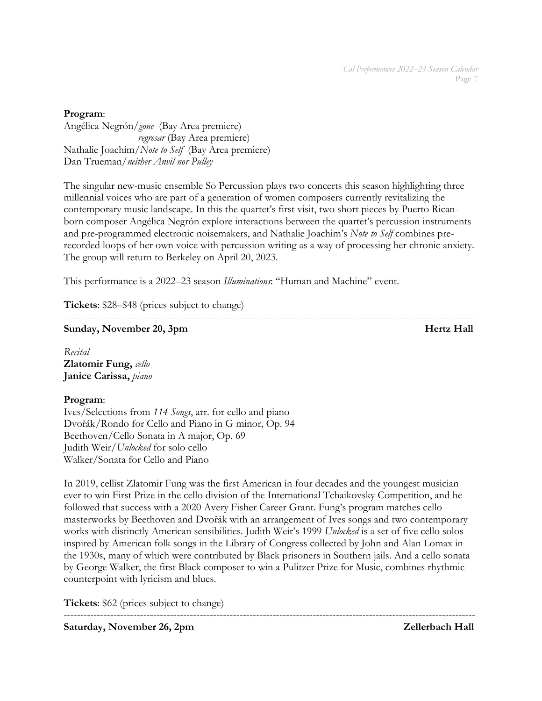### **Program**:

Angélica Negrón/*gone* (Bay Area premiere) *regresar* (Bay Area premiere) Nathalie Joachim/*Note to Self* (Bay Area premiere) Dan Trueman/*neither Anvil nor Pulley*

The singular new-music ensemble Sō Percussion plays two concerts this season highlighting three millennial voices who are part of a generation of women composers currently revitalizing the contemporary music landscape. In this the quartet's first visit, two short pieces by Puerto Ricanborn composer Angélica Negrón explore interactions between the quartet's percussion instruments and pre-programmed electronic noisemakers, and Nathalie Joachim's *Note to Self* combines prerecorded loops of her own voice with percussion writing as a way of processing her chronic anxiety. The group will return to Berkeley on April 20, 2023.

This performance is a 2022–23 season *Illuminations*: "Human and Machine" event.

**Tickets**: \$28–\$48 (prices subject to change)

----------------------------------------------------------------------------------------------------------------------------

**Sunday, November 20, 3pm discriming the state of the Sunday, November 20, 3pm discriming the state of the Sunday, November 20, 3pm discriming the state of the Sunday, November 20, 3pm discriming the state of the Sunday, N** 

*Recital* **Zlatomir Fung,** *cello* **Janice Carissa,** *piano*

# **Program**:

Ives/Selections from *114 Songs*, arr. for cello and piano Dvořák/Rondo for Cello and Piano in G minor, Op. 94 Beethoven/Cello Sonata in A major, Op. 69 Judith Weir/*Unlocked* for solo cello Walker/Sonata for Cello and Piano

In 2019, cellist Zlatomir Fung was the first American in four decades and the youngest musician ever to win First Prize in the cello division of the International Tchaikovsky Competition, and he followed that success with a 2020 Avery Fisher Career Grant. Fung's program matches cello masterworks by Beethoven and Dvořák with an arrangement of Ives songs and two contemporary works with distinctly American sensibilities. Judith Weir's 1999 *Unlocked* is a set of five cello solos inspired by American folk songs in the Library of Congress collected by John and Alan Lomax in the 1930s, many of which were contributed by Black prisoners in Southern jails. And a cello sonata by George Walker, the first Black composer to win a Pulitzer Prize for Music, combines rhythmic counterpoint with lyricism and blues.

----------------------------------------------------------------------------------------------------------------------------

**Tickets**: \$62 (prices subject to change)

Saturday, November 26, 2pm **Zellerbach Hall**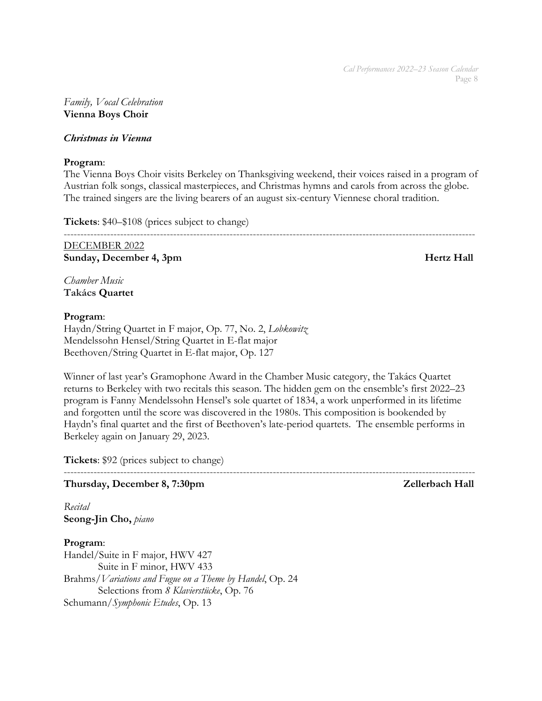### *Family, Vocal Celebration* **Vienna Boys Choir**

### *Christmas in Vienna*

### **Program**:

The Vienna Boys Choir visits Berkeley on Thanksgiving weekend, their voices raised in a program of Austrian folk songs, classical masterpieces, and Christmas hymns and carols from across the globe. The trained singers are the living bearers of an august six-century Viennese choral tradition.

**Tickets**: \$40–\$108 (prices subject to change)

----------------------------------------------------------------------------------------------------------------------------

DECEMBER 2022 **Sunday, December 4, 3pm Hertz Hall** 

*Chamber Music* **Takács Quartet**

### **Program**:

Haydn/String Quartet in F major, Op. 77, No. 2, *Lobkowitz* Mendelssohn Hensel/String Quartet in E-flat major Beethoven/String Quartet in E-flat major, Op. 127

Winner of last year's Gramophone Award in the Chamber Music category, the Takács Quartet returns to Berkeley with two recitals this season. The hidden gem on the ensemble's first 2022–23 program is Fanny Mendelssohn Hensel's sole quartet of 1834, a work unperformed in its lifetime and forgotten until the score was discovered in the 1980s. This composition is bookended by Haydn's final quartet and the first of Beethoven's late-period quartets. The ensemble performs in Berkeley again on January 29, 2023.

**Tickets**: \$92 (prices subject to change)

### ---------------------------------------------------------------------------------------------------------------------------- **Thursday, December 8, 7:30pm 2ellerbach Hall**

*Recital* **Seong-Jin Cho,** *piano*

**Program**:

Handel/Suite in F major, HWV 427 Suite in F minor, HWV 433 Brahms/*Variations and Fugue on a Theme by Handel*, Op. 24 Selections from *8 Klavierstücke*, Op. 76 Schumann/*Symphonic Etudes*, Op. 13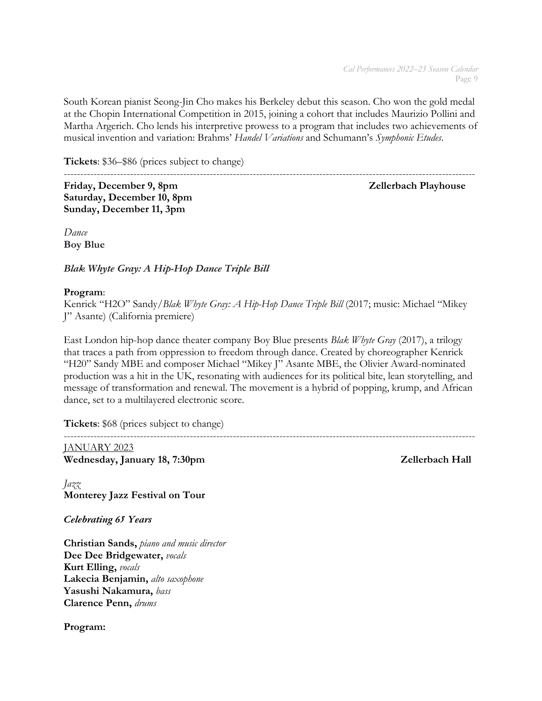South Korean pianist Seong-Jin Cho makes his Berkeley debut this season. Cho won the gold medal at the Chopin International Competition in 2015, joining a cohort that includes Maurizio Pollini and Martha Argerich. Cho lends his interpretive prowess to a program that includes two achievements of musical invention and variation: Brahms' *Handel Variations* and Schumann's *Symphonic Etudes*.

**Tickets**: \$36–\$86 (prices subject to change)

---------------------------------------------------------------------------------------------------------------------------- Friday, December 9, 8pm and a settlement of the *Zellerbach Playhouse* **Zellerbach Playhouse Saturday, December 10, 8pm Sunday, December 11, 3pm**

*Dance* **Boy Blue**

*Blak Whyte Gray: A Hip-Hop Dance Triple Bill*

# **Program**:

Kenrick "H2O" Sandy/*Blak Whyte Gray: A Hip-Hop Dance Triple Bill* (2017; music: Michael "Mikey J" Asante) (California premiere)

East London hip-hop dance theater company Boy Blue presents *Blak Whyte Gray* (2017), a trilogy that traces a path from oppression to freedom through dance. Created by choreographer Kenrick "H20" Sandy MBE and composer Michael "Mikey J" Asante MBE, the Olivier Award-nominated production was a hit in the UK, resonating with audiences for its political bite, lean storytelling, and message of transformation and renewal. The movement is a hybrid of popping, krump, and African dance, set to a multilayered electronic score.

**Tickets**: \$68 (prices subject to change)

---------------------------------------------------------------------------------------------------------------------------- JANUARY 2023 Wednesday, January 18, 7:30pm Zellerbach Hall

*Jazz* **Monterey Jazz Festival on Tour**

*Celebrating 65 Years*

**Christian Sands,** *piano and music director* **Dee Dee Bridgewater,** *vocals* **Kurt Elling,** *vocals* **Lakecia Benjamin,** *alto saxophone* **Yasushi Nakamura,** *bass* **Clarence Penn,** *drums*

**Program:**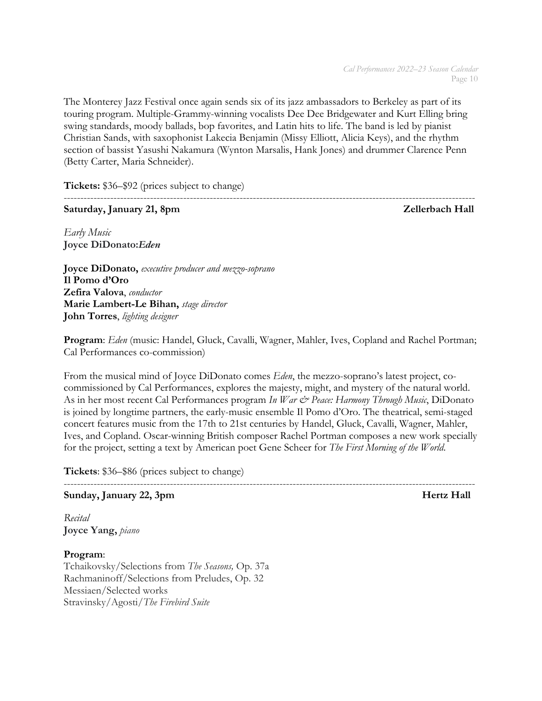The Monterey Jazz Festival once again sends six of its jazz ambassadors to Berkeley as part of its touring program. Multiple-Grammy-winning vocalists Dee Dee Bridgewater and Kurt Elling bring swing standards, moody ballads, bop favorites, and Latin hits to life. The band is led by pianist Christian Sands, with saxophonist Lakecia Benjamin (Missy Elliott, Alicia Keys), and the rhythm section of bassist Yasushi Nakamura (Wynton Marsalis, Hank Jones) and drummer Clarence Penn (Betty Carter, Maria Schneider).

**Tickets:** \$36–\$92 (prices subject to change)

# **Saturday, January 21, 8pm 2016 Saturday, January 21, 8pm**  $Z$ ellerbach Hall

----------------------------------------------------------------------------------------------------------------------------

*Early Music* **Joyce DiDonato:***Eden*

**Joyce DiDonato,** *executive producer and mezzo-soprano* **Il Pomo d'Oro Zefira Valova**, *conductor* **Marie Lambert-Le Bihan,** *stage director* **John Torres**, *lighting designer*

**Program**: *Eden* (music: Handel, Gluck, Cavalli, Wagner, Mahler, Ives, Copland and Rachel Portman; Cal Performances co-commission)

From the musical mind of Joyce DiDonato comes *Eden*, the mezzo-soprano's latest project, cocommissioned by Cal Performances, explores the majesty, might, and mystery of the natural world. As in her most recent Cal Performances program *In War & Peace: Harmony Through Music*, DiDonato is joined by longtime partners, the early-music ensemble Il Pomo d'Oro. The theatrical, semi-staged concert features music from the 17th to 21st centuries by Handel, Gluck, Cavalli, Wagner, Mahler, Ives, and Copland. Oscar-winning British composer Rachel Portman composes a new work specially for the project, setting a text by American poet Gene Scheer for *The First Morning of the World*.

**Tickets**: \$36–\$86 (prices subject to change)

---------------------------------------------------------------------------------------------------------------------------- **Sunday, January 22, 3pm discriming the sunday, January 22, 3pm discriming the sunday, Hertz Hall** 

*Recital* **Joyce Yang,** *piano*

**Program**: Tchaikovsky/Selections from *The Seasons,* Op. 37a Rachmaninoff/Selections from Preludes, Op. 32 Messiaen/Selected works Stravinsky/Agosti/*The Firebird Suite*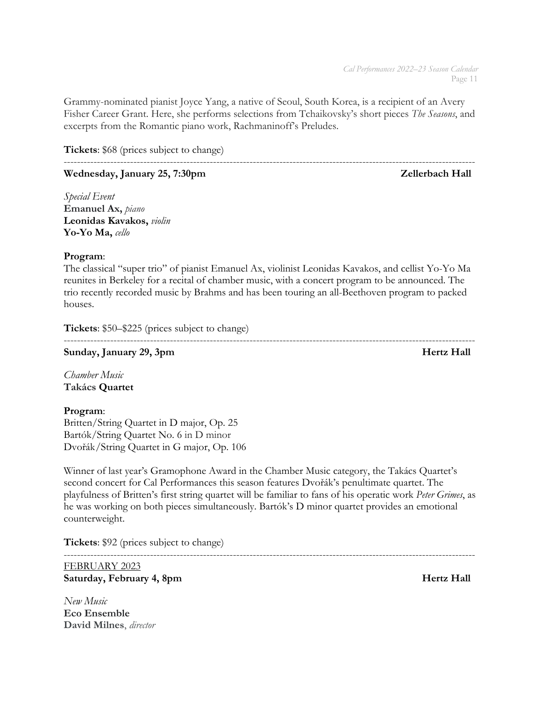Grammy-nominated pianist Joyce Yang, a native of Seoul, South Korea, is a recipient of an Avery Fisher Career Grant. Here, she performs selections from Tchaikovsky's short pieces *The Seasons*, and excerpts from the Romantic piano work, Rachmaninoff's Preludes.

**Tickets**: \$68 (prices subject to change)

# Wednesday, January 25, 7:30pm **Zellerbach Hall**

*Special Event* **Emanuel Ax,** *piano* **Leonidas Kavakos,** *violin* **Yo-Yo Ma,** *cello*

# **Program**:

The classical "super trio" of pianist Emanuel Ax, violinist Leonidas Kavakos, and cellist Yo-Yo Ma reunites in Berkeley for a recital of chamber music, with a concert program to be announced. The trio recently recorded music by Brahms and has been touring an all-Beethoven program to packed houses.

**Tickets**: \$50–\$225 (prices subject to change)

---------------------------------------------------------------------------------------------------------------------------- **Sunday, January 29, 3pm Hertz Hall** 

*Chamber Music* **Takács Quartet**

# **Program**:

Britten/String Quartet in D major, Op. 25 Bartók/String Quartet No. 6 in D minor Dvořák/String Quartet in G major, Op. 106

Winner of last year's Gramophone Award in the Chamber Music category, the Takács Quartet's second concert for Cal Performances this season features Dvořák's penultimate quartet. The playfulness of Britten's first string quartet will be familiar to fans of his operatic work *Peter Grimes*, as he was working on both pieces simultaneously. Bartók's D minor quartet provides an emotional counterweight.

**Tickets**: \$92 (prices subject to change)

### ---------------------------------------------------------------------------------------------------------------------------- FEBRUARY 2023 Saturday, February 4, 8pm **Hertz Hall**

*New Music* **Eco Ensemble David Milnes**, *director*

----------------------------------------------------------------------------------------------------------------------------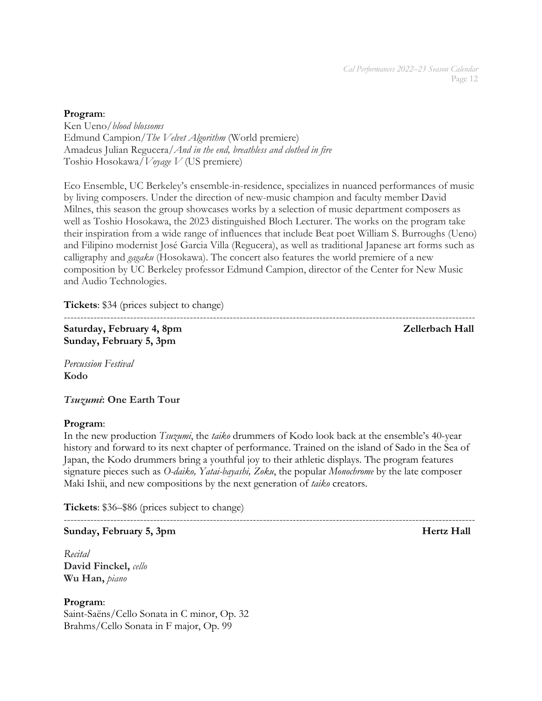### **Program**:

Ken Ueno/*blood blossoms* Edmund Campion/*The Velvet Algorithm* (World premiere) Amadeus Julian Regucera/*And in the end, breathless and clothed in fire* Toshio Hosokawa/*Voyage V* (US premiere)

Eco Ensemble, UC Berkeley's ensemble-in-residence, specializes in nuanced performances of music by living composers. Under the direction of new-music champion and faculty member David Milnes, this season the group showcases works by a selection of music department composers as well as Toshio Hosokawa, the 2023 distinguished Bloch Lecturer. The works on the program take their inspiration from a wide range of influences that include Beat poet William S. Burroughs (Ueno) and Filipino modernist José Garcia Villa (Regucera), as well as traditional Japanese art forms such as calligraphy and *gagaku* (Hosokawa). The concert also features the world premiere of a new composition by UC Berkeley professor Edmund Campion, director of the Center for New Music and Audio Technologies.

**Tickets**: \$34 (prices subject to change)

----------------------------------------------------------------------------------------------------------------------------

**Saturday, February 4, 8pm 2018** 2018 2018 2019 2018 2021 2022 2022 2023 **Sunday, February 5, 3pm**

*Percussion Festival* **Kodo**

*Tsuzumi***: One Earth Tour**

# **Program**:

In the new production *Tsuzumi*, the *taiko* drummers of Kodo look back at the ensemble's 40-year history and forward to its next chapter of performance. Trained on the island of Sado in the Sea of Japan, the Kodo drummers bring a youthful joy to their athletic displays. The program features signature pieces such as *O-daiko, Yatai-bayashi, Zoku*, the popular *Monochrome* by the late composer Maki Ishii, and new compositions by the next generation of *taiko* creators.

**Tickets**: \$36–\$86 (prices subject to change)

---------------------------------------------------------------------------------------------------------------------------- **Sunday, February 5, 3pm distribution of the state of the state of the Hertz Hall** 

*Recital* **David Finckel,** *cello* **Wu Han,** *piano*

**Program**: Saint-Saëns/Cello Sonata in C minor, Op. 32 Brahms/Cello Sonata in F major, Op. 99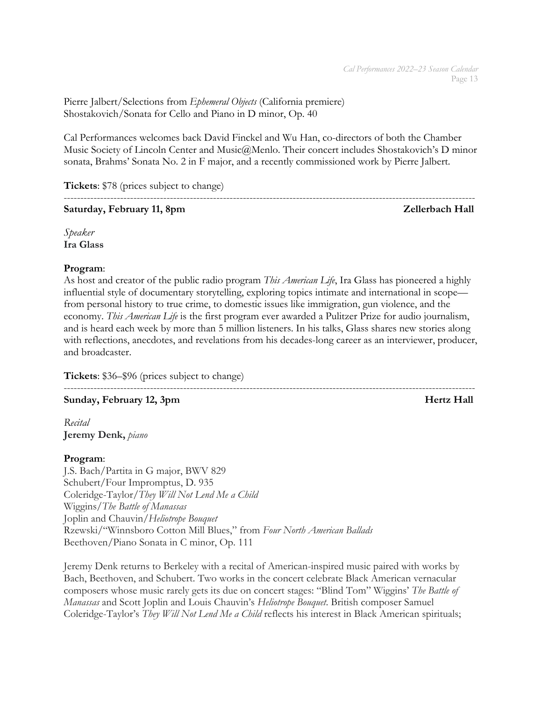Pierre Jalbert/Selections from *Ephemeral Objects* (California premiere) Shostakovich/Sonata for Cello and Piano in D minor, Op. 40

Cal Performances welcomes back David Finckel and Wu Han, co-directors of both the Chamber Music Society of Lincoln Center and Music@Menlo. Their concert includes Shostakovich's D minor sonata, Brahms' Sonata No. 2 in F major, and a recently commissioned work by Pierre Jalbert.

**Tickets**: \$78 (prices subject to change)

----------------------------------------------------------------------------------------------------------------------------

# **Saturday, February 11, 8pm 2016** and 2016 **Zellerbach Hall**

*Speaker* **Ira Glass**

# **Program**:

As host and creator of the public radio program *This American Life*, Ira Glass has pioneered a highly influential style of documentary storytelling, exploring topics intimate and international in scope from personal history to true crime, to domestic issues like immigration, gun violence, and the economy. *This American Life* is the first program ever awarded a Pulitzer Prize for audio journalism, and is heard each week by more than 5 million listeners. In his talks, Glass shares new stories along with reflections, anecdotes, and revelations from his decades-long career as an interviewer, producer, and broadcaster.

**Tickets**: \$36–\$96 (prices subject to change)

---------------------------------------------------------------------------------------------------------------------------- **Sunday, February 12, 3pm Hertz Hall** 

*Recital* **Jeremy Denk,** *piano*

# **Program**:

J.S. Bach/Partita in G major, BWV 829 Schubert/Four Impromptus, D. 935 Coleridge-Taylor/*They Will Not Lend Me a Child* Wiggins/*The Battle of Manassas* Joplin and Chauvin/*Heliotrope Bouquet* Rzewski/"Winnsboro Cotton Mill Blues," from *Four North American Ballads* Beethoven/Piano Sonata in C minor, Op. 111

Jeremy Denk returns to Berkeley with a recital of American-inspired music paired with works by Bach, Beethoven, and Schubert. Two works in the concert celebrate Black American vernacular composers whose music rarely gets its due on concert stages: "Blind Tom" Wiggins' *The Battle of Manassas* and Scott Joplin and Louis Chauvin's *Heliotrope Bouquet*. British composer Samuel Coleridge-Taylor's *They Will Not Lend Me a Child* reflects his interest in Black American spirituals;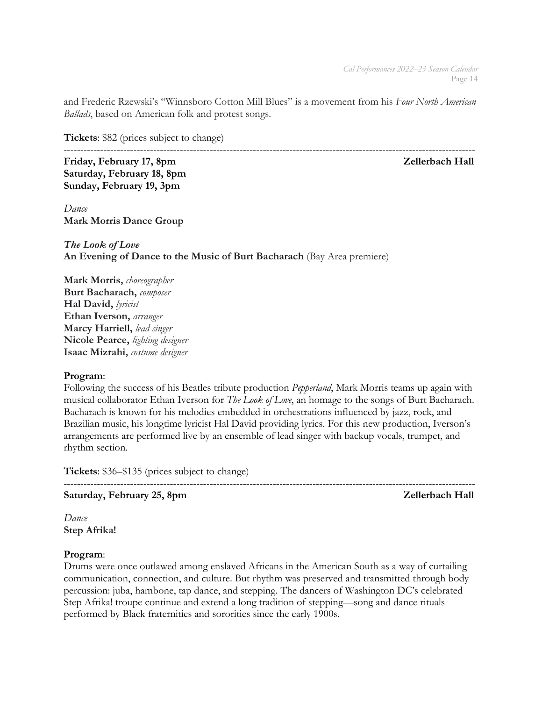and Frederic Rzewski's "Winnsboro Cotton Mill Blues" is a movement from his *Four North American Ballads*, based on American folk and protest songs.

**Tickets**: \$82 (prices subject to change)

---------------------------------------------------------------------------------------------------------------------------- Friday, February 17, 8pm **Zellerbach Hall Saturday, February 18, 8pm Sunday, February 19, 3pm**

*Dance* **Mark Morris Dance Group**

*The Look of Love* **An Evening of Dance to the Music of Burt Bacharach** (Bay Area premiere)

**Mark Morris,** *choreographer* **Burt Bacharach,** *composer* **Hal David,** *lyricist* **Ethan Iverson,** *arranger* **Marcy Harriell,** *lead singer* **Nicole Pearce,** *lighting designer* **Isaac Mizrahi,** *costume designer*

# **Program**:

Following the success of his Beatles tribute production *Pepperland*, Mark Morris teams up again with musical collaborator Ethan Iverson for *The Look of Love*, an homage to the songs of Burt Bacharach. Bacharach is known for his melodies embedded in orchestrations influenced by jazz, rock, and Brazilian music, his longtime lyricist Hal David providing lyrics. For this new production, Iverson's arrangements are performed live by an ensemble of lead singer with backup vocals, trumpet, and rhythm section.

**Tickets**: \$36–\$135 (prices subject to change)

----------------------------------------------------------------------------------------------------------------------------

Saturday, February 25, 8pm **Zellerbach Hall** 

*Dance* **Step Afrika!**

# **Program**:

Drums were once outlawed among enslaved Africans in the American South as a way of curtailing communication, connection, and culture. But rhythm was preserved and transmitted through body percussion: juba, hambone, tap dance, and stepping. The dancers of Washington DC's celebrated Step Afrika! troupe continue and extend a long tradition of stepping—song and dance rituals performed by Black fraternities and sororities since the early 1900s.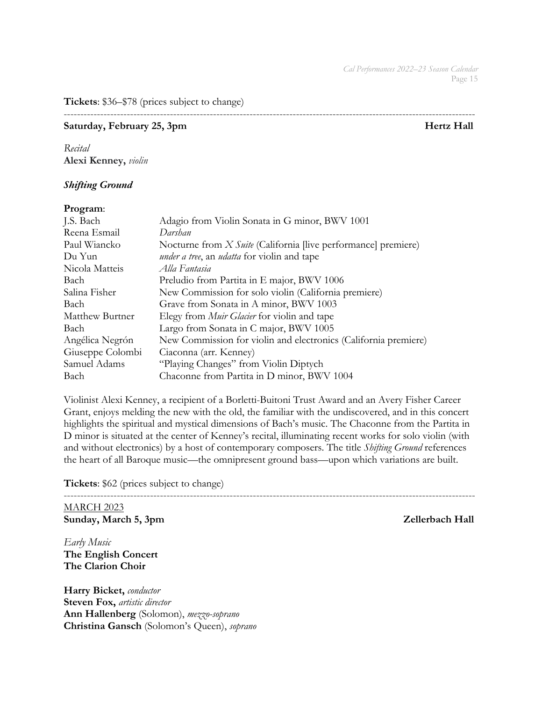**Tickets**: \$36–\$78 (prices subject to change)

----------------------------------------------------------------------------------------------------------------------------

### Saturday, February 25, 3pm **Hertz Hall**

*Recital* **Alexi Kenney,** *violin*

# *Shifting Ground*

### **Program**:

| J.S. Bach        | Adagio from Violin Sonata in G minor, BWV 1001                        |
|------------------|-----------------------------------------------------------------------|
| Reena Esmail     | Darshan                                                               |
| Paul Wiancko     | Nocturne from <i>X Suite</i> (California [live performance] premiere) |
| Du Yun           | <i>under a tree, an udatta</i> for violin and tape                    |
| Nicola Matteis   | Alla Fantasia                                                         |
| Bach             | Preludio from Partita in E major, BWV 1006                            |
| Salina Fisher    | New Commission for solo violin (California premiere)                  |
| Bach             | Grave from Sonata in A minor, BWV 1003                                |
| Matthew Burtner  | Elegy from <i>Muir Glacier</i> for violin and tape                    |
| Bach             | Largo from Sonata in C major, BWV 1005                                |
| Angélica Negrón  | New Commission for violin and electronics (California premiere)       |
| Giuseppe Colombi | Ciaconna (arr. Kenney)                                                |
| Samuel Adams     | "Playing Changes" from Violin Diptych                                 |
| Bach             | Chaconne from Partita in D minor, BWV 1004                            |
|                  |                                                                       |

Violinist Alexi Kenney, a recipient of a Borletti-Buitoni Trust Award and an Avery Fisher Career Grant, enjoys melding the new with the old, the familiar with the undiscovered, and in this concert highlights the spiritual and mystical dimensions of Bach's music. The Chaconne from the Partita in D minor is situated at the center of Kenney's recital, illuminating recent works for solo violin (with and without electronics) by a host of contemporary composers. The title *Shifting Ground* references the heart of all Baroque music—the omnipresent ground bass—upon which variations are built.

**Tickets**: \$62 (prices subject to change)

---------------------------------------------------------------------------------------------------------------------------- MARCH 2023 **Sunday, March 5, 3pm 2ellerbach Hall** 

*Early Music* **The English Concert The Clarion Choir**

**Harry Bicket,** *conductor* **Steven Fox,** *artistic director* **Ann Hallenberg** (Solomon), *mezzo-soprano* **Christina Gansch** (Solomon's Queen), *soprano*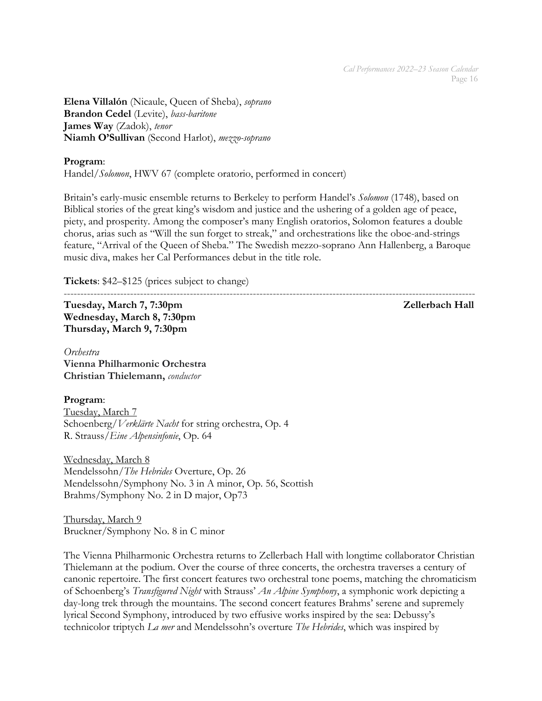**Elena Villalón** (Nicaule, Queen of Sheba), *soprano* **Brandon Cedel** (Levite), *bass-baritone* **James Way** (Zadok), *tenor* **Niamh O'Sullivan** (Second Harlot), *mezzo-soprano*

# **Program**:

Handel/*Solomon*, HWV 67 (complete oratorio, performed in concert)

Britain's early-music ensemble returns to Berkeley to perform Handel's *Solomon* (1748), based on Biblical stories of the great king's wisdom and justice and the ushering of a golden age of peace, piety, and prosperity. Among the composer's many English oratorios, Solomon features a double chorus, arias such as "Will the sun forget to streak," and orchestrations like the oboe-and-strings feature, "Arrival of the Queen of Sheba." The Swedish mezzo-soprano Ann Hallenberg, a Baroque music diva, makes her Cal Performances debut in the title role.

**Tickets**: \$42–\$125 (prices subject to change)

---------------------------------------------------------------------------------------------------------------------------- Tuesday, March 7, 7:30pm *Tuesday, March 7, 7:30pm* 2 *Zellerbach Hall* **Wednesday, March 8, 7:30pm Thursday, March 9, 7:30pm**

*Orchestra* **Vienna Philharmonic Orchestra Christian Thielemann,** *conductor*

# **Program**:

Tuesday, March 7 Schoenberg/*Verklärte Nacht* for string orchestra, Op. 4 R. Strauss/*Eine Alpensinfonie*, Op. 64

Wednesday, March 8 Mendelssohn/*The Hebrides* Overture, Op. 26 Mendelssohn/Symphony No. 3 in A minor, Op. 56, Scottish Brahms/Symphony No. 2 in D major, Op73

Thursday, March 9 Bruckner/Symphony No. 8 in C minor

The Vienna Philharmonic Orchestra returns to Zellerbach Hall with longtime collaborator Christian Thielemann at the podium. Over the course of three concerts, the orchestra traverses a century of canonic repertoire. The first concert features two orchestral tone poems, matching the chromaticism of Schoenberg's *Transfigured Night* with Strauss' *An Alpine Symphony*, a symphonic work depicting a day-long trek through the mountains. The second concert features Brahms' serene and supremely lyrical Second Symphony, introduced by two effusive works inspired by the sea: Debussy's technicolor triptych *La mer* and Mendelssohn's overture *The Hebrides*, which was inspired by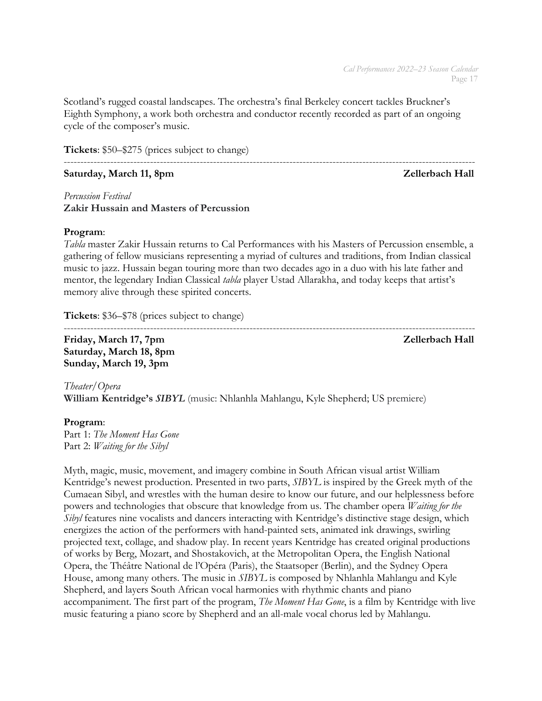Scotland's rugged coastal landscapes. The orchestra's final Berkeley concert tackles Bruckner's Eighth Symphony, a work both orchestra and conductor recently recorded as part of an ongoing cycle of the composer's music.

**Tickets**: \$50–\$275 (prices subject to change)

### Saturday, March 11, 8pm **Zellerbach Hall**

### *Percussion Festival* **Zakir Hussain and Masters of Percussion**

### **Program**:

*Tabla* master Zakir Hussain returns to Cal Performances with his Masters of Percussion ensemble, a gathering of fellow musicians representing a myriad of cultures and traditions, from Indian classical music to jazz. Hussain began touring more than two decades ago in a duo with his late father and mentor, the legendary Indian Classical *tabla* player Ustad Allarakha, and today keeps that artist's memory alive through these spirited concerts.

**Tickets**: \$36–\$78 (prices subject to change)

----------------------------------------------------------------------------------------------------------------------------

Friday, March 17, 7pm **Zellerbach Hall Saturday, March 18, 8pm Sunday, March 19, 3pm**

*Theater/Opera* **William Kentridge's** *SIBYL* (music: Nhlanhla Mahlangu, Kyle Shepherd; US premiere)

# **Program**:

Part 1: *The Moment Has Gone* Part 2: *Waiting for the Sibyl*

Myth, magic, music, movement, and imagery combine in South African visual artist William Kentridge's newest production. Presented in two parts, *SIBYL* is inspired by the Greek myth of the Cumaean Sibyl, and wrestles with the human desire to know our future, and our helplessness before powers and technologies that obscure that knowledge from us. The chamber opera *Waiting for the Sibyl* features nine vocalists and dancers interacting with Kentridge's distinctive stage design, which energizes the action of the performers with hand-painted sets, animated ink drawings, swirling projected text, collage, and shadow play. In recent years Kentridge has created original productions of works by Berg, Mozart, and Shostakovich, at the Metropolitan Opera, the English National Opera, the Théâtre National de l'Opéra (Paris), the Staatsoper (Berlin), and the Sydney Opera House, among many others. The music in *SIBYL* is composed by Nhlanhla Mahlangu and Kyle Shepherd, and layers South African vocal harmonies with rhythmic chants and piano accompaniment. The first part of the program, *The Moment Has Gone*, is a film by Kentridge with live music featuring a piano score by Shepherd and an all-male vocal chorus led by Mahlangu.

----------------------------------------------------------------------------------------------------------------------------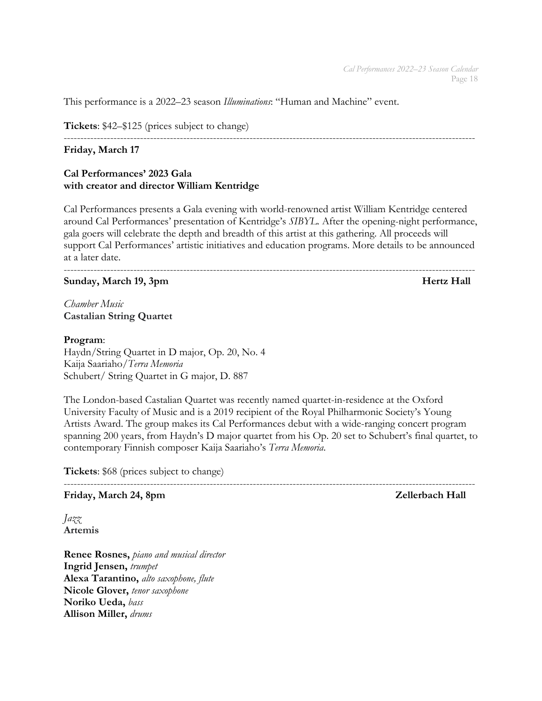This performance is a 2022–23 season *Illuminations*: "Human and Machine" event.

**Tickets**: \$42–\$125 (prices subject to change)

### ----------------------------------------------------------------------------------------------------------------------------

### **Friday, March 17**

### **Cal Performances' 2023 Gala with creator and director William Kentridge**

Cal Performances presents a Gala evening with world-renowned artist William Kentridge centered around Cal Performances' presentation of Kentridge's *SIBYL*. After the opening-night performance, gala goers will celebrate the depth and breadth of this artist at this gathering. All proceeds will support Cal Performances' artistic initiatives and education programs. More details to be announced at a later date.

----------------------------------------------------------------------------------------------------------------------------

### **Sunday, March 19, 3pm Hertz Hall**

*Chamber Music* **Castalian String Quartet**

### **Program**:

Haydn/String Quartet in D major, Op. 20, No. 4 Kaija Saariaho/*Terra Memoria* Schubert/ String Quartet in G major, D. 887

The London-based Castalian Quartet was recently named quartet-in-residence at the Oxford University Faculty of Music and is a 2019 recipient of the Royal Philharmonic Society's Young Artists Award. The group makes its Cal Performances debut with a wide-ranging concert program spanning 200 years, from Haydn's D major quartet from his Op. 20 set to Schubert's final quartet, to contemporary Finnish composer Kaija Saariaho's *Terra Memoria*.

**Tickets**: \$68 (prices subject to change)

----------------------------------------------------------------------------------------------------------------------------

### Friday, March 24, 8pm **Zellerbach Hall**

*Jazz* **Artemis**

**Renee Rosnes,** *piano and musical director* **Ingrid Jensen,** *trumpet* **Alexa Tarantino,** *alto saxophone, flute*  **Nicole Glover,** *tenor saxophone* **Noriko Ueda,** *bass* **Allison Miller,** *drums*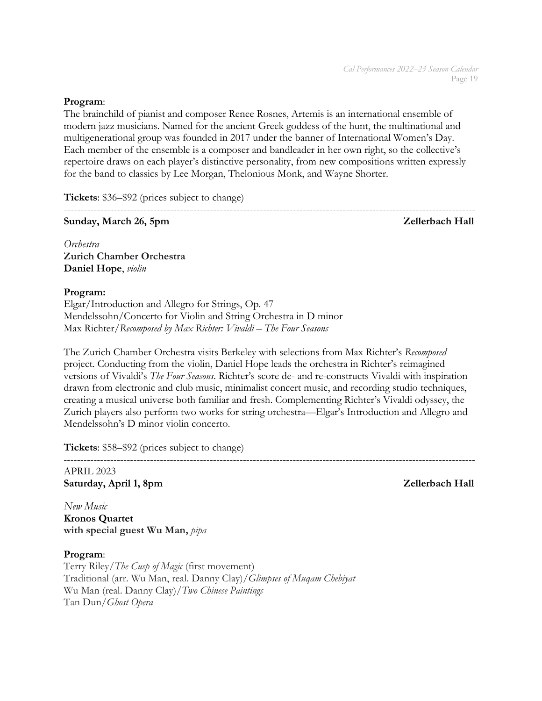### **Program**:

The brainchild of pianist and composer Renee Rosnes, Artemis is an international ensemble of modern jazz musicians. Named for the ancient Greek goddess of the hunt, the multinational and multigenerational group was founded in 2017 under the banner of International Women's Day. Each member of the ensemble is a composer and bandleader in her own right, so the collective's repertoire draws on each player's distinctive personality, from new compositions written expressly for the band to classics by Lee Morgan, Thelonious Monk, and Wayne Shorter.

**Tickets**: \$36–\$92 (prices subject to change)

---------------------------------------------------------------------------------------------------------------------------- **Sunday, March 26, 5pm 2016 2016 2016 2017 2018 2019 2018 2018 2019 2018 2018 2019 2018 2019 2018 2019 2018 2019** 

*Orchestra* **Zurich Chamber Orchestra Daniel Hope**, *violin*

# **Program:**

Elgar/Introduction and Allegro for Strings, Op. 47 Mendelssohn/Concerto for Violin and String Orchestra in D minor Max Richter/*Recomposed by Max Richter: Vivaldi – The Four Seasons*

The Zurich Chamber Orchestra visits Berkeley with selections from Max Richter's *Recomposed*  project. Conducting from the violin, Daniel Hope leads the orchestra in Richter's reimagined versions of Vivaldi's *The Four Seasons*. Richter's score de- and re-constructs Vivaldi with inspiration drawn from electronic and club music, minimalist concert music, and recording studio techniques, creating a musical universe both familiar and fresh. Complementing Richter's Vivaldi odyssey, the Zurich players also perform two works for string orchestra—Elgar's Introduction and Allegro and Mendelssohn's D minor violin concerto.

**Tickets**: \$58–\$92 (prices subject to change)

----------------------------------------------------------------------------------------------------------------------------

APRIL 2023 **Saturday, April 1, 8pm 2016** and 2017 **Zellerbach Hall** 

*New Music* **Kronos Quartet**

**with special guest Wu Man,** *pipa*

**Program**: Terry Riley/*The Cusp of Magic* (first movement) Traditional (arr. Wu Man, real. Danny Clay)/*Glimpses of Muqam Chebiyat* Wu Man (real. Danny Clay)/*Two Chinese Paintings* Tan Dun/*Ghost Opera*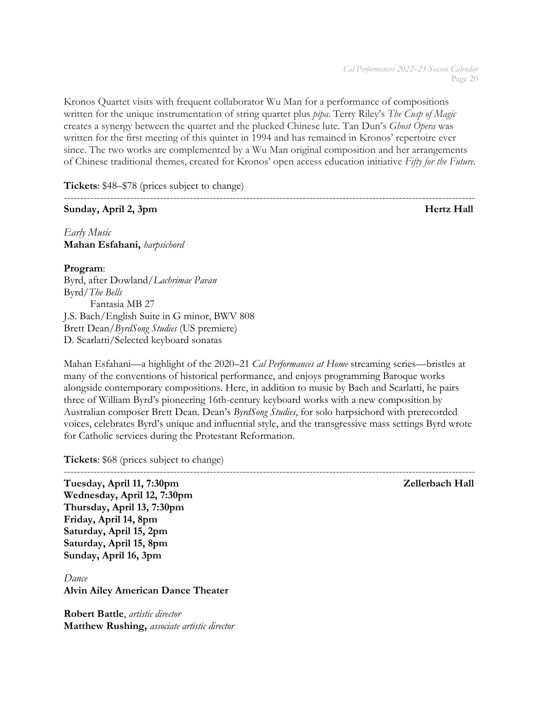Kronos Quartet visits with frequent collaborator Wu Man for a performance of compositions written for the unique instrumentation of string quartet plus *pipa*. Terry Riley's *The Cusp of Magic* creates a synergy between the quartet and the plucked Chinese lute. Tan Dun's *Ghost Opera* was written for the first meeting of this quintet in 1994 and has remained in Kronos' repertoire ever since. The two works are complemented by a Wu Man original composition and her arrangements of Chinese traditional themes, created for Kronos' open access education initiative *Fifty for the Future.*

**Tickets**: \$48–\$78 (prices subject to change)

# **Sunday, April 2, 3pm Hertz Hall**

----------------------------------------------------------------------------------------------------------------------------

*Early Music* **Mahan Esfahani,** *harpsichord*

# **Program**:

Byrd, after Dowland/*Lachrimae Pavan*  Byrd*/The Bells* Fantasia MB 27 J.S. Bach/English Suite in G minor, BWV 808 Brett Dean/*ByrdSong Studies* (US premiere) D. Scarlatti/Selected keyboard sonatas

Mahan Esfahani—a highlight of the 2020–21 *Cal Performances at Home* streaming series—bristles at many of the conventions of historical performance, and enjoys programming Baroque works alongside contemporary compositions. Here, in addition to music by Bach and Scarlatti, he pairs three of William Byrd's pioneering 16th-century keyboard works with a new composition by Australian composer Brett Dean. Dean's *ByrdSong Studies*, for solo harpsichord with prerecorded voices, celebrates Byrd's unique and influential style, and the transgressive mass settings Byrd wrote for Catholic services during the Protestant Reformation.

**Tickets**: \$68 (prices subject to change)

---------------------------------------------------------------------------------------------------------------------------- **Tuesday, April 11, 7:30pm Zellerbach Hall Wednesday, April 12, 7:30pm Thursday, April 13, 7:30pm Friday, April 14, 8pm Saturday, April 15, 2pm Saturday, April 15, 8pm Sunday, April 16, 3pm**

*Dance* **Alvin Ailey American Dance Theater**

**Robert Battle**, *artistic director* **Matthew Rushing,** *associate artistic director*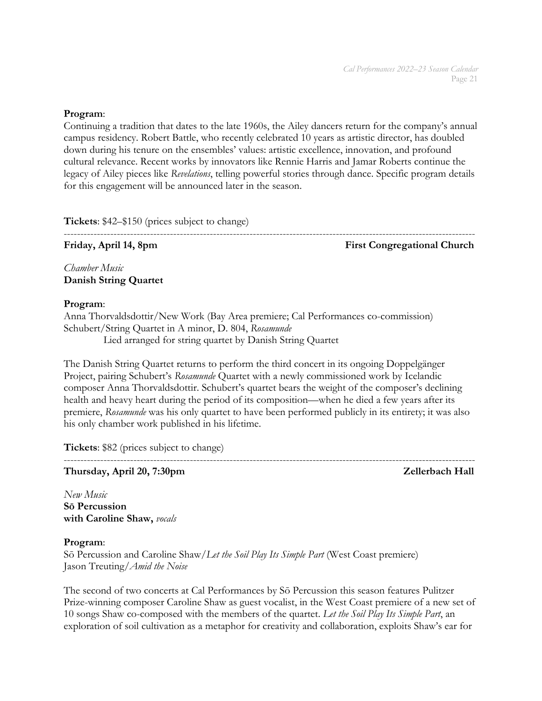### **Program**:

Continuing a tradition that dates to the late 1960s, the Ailey dancers return for the company's annual campus residency. Robert Battle, who recently celebrated 10 years as artistic director, has doubled down during his tenure on the ensembles' values: artistic excellence, innovation, and profound cultural relevance. Recent works by innovators like Rennie Harris and Jamar Roberts continue the legacy of Ailey pieces like *Revelations*, telling powerful stories through dance. Specific program details for this engagement will be announced later in the season.

**Tickets**: \$42–\$150 (prices subject to change)

# ----------------------------------------------------------------------------------------------------------------------------

Friday, April 14, 8pm First Congregational Church

*Chamber Music* **Danish String Quartet**

### **Program**:

Anna Thorvaldsdottir/New Work (Bay Area premiere; Cal Performances co-commission) Schubert/String Quartet in A minor, D. 804, *Rosamunde*  Lied arranged for string quartet by Danish String Quartet

The Danish String Quartet returns to perform the third concert in its ongoing Doppelgänger Project, pairing Schubert's *Rosamunde* Quartet with a newly commissioned work by Icelandic composer Anna Thorvaldsdottir. Schubert's quartet bears the weight of the composer's declining health and heavy heart during the period of its composition—when he died a few years after its premiere, *Rosamunde* was his only quartet to have been performed publicly in its entirety; it was also his only chamber work published in his lifetime.

**Tickets**: \$82 (prices subject to change)

**Thursday, April 20, 7:30pm Zellerbach Hall**

*New Music* **Sō Percussion with Caroline Shaw,** *vocals*

### **Program**:

Sō Percussion and Caroline Shaw/*Let the Soil Play Its Simple Part* (West Coast premiere) Jason Treuting/*Amid the Noise* 

----------------------------------------------------------------------------------------------------------------------------

The second of two concerts at Cal Performances by Sō Percussion this season features Pulitzer Prize-winning composer Caroline Shaw as guest vocalist, in the West Coast premiere of a new set of 10 songs Shaw co-composed with the members of the quartet. *Let the Soil Play Its Simple Part*, an exploration of soil cultivation as a metaphor for creativity and collaboration, exploits Shaw's ear for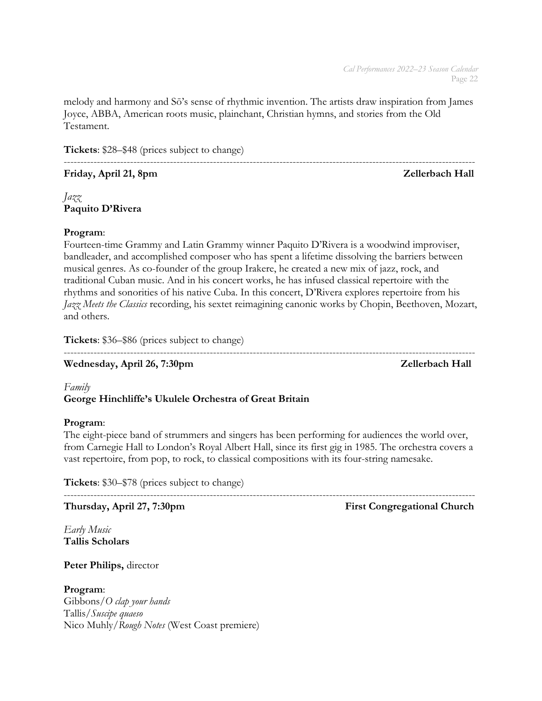melody and harmony and Sō's sense of rhythmic invention. The artists draw inspiration from James Joyce, ABBA, American roots music, plainchant, Christian hymns, and stories from the Old Testament.

**Tickets**: \$28–\$48 (prices subject to change)

# Friday, April 21, 8pm **Zellerbach Hall**

----------------------------------------------------------------------------------------------------------------------------

# *Jazz* **Paquito D'Rivera**

# **Program**:

Fourteen-time Grammy and Latin Grammy winner Paquito D'Rivera is a woodwind improviser, bandleader, and accomplished composer who has spent a lifetime dissolving the barriers between musical genres. As co-founder of the group Irakere, he created a new mix of jazz, rock, and traditional Cuban music. And in his concert works, he has infused classical repertoire with the rhythms and sonorities of his native Cuba. In this concert, D'Rivera explores repertoire from his *Jazz Meets the Classics* recording, his sextet reimagining canonic works by Chopin, Beethoven, Mozart, and others.

----------------------------------------------------------------------------------------------------------------------------

**Tickets**: \$36–\$86 (prices subject to change)

Wednesday, April 26, 7:30pm **Zellerbach Hall** 

# *Family* **George Hinchliffe's Ukulele Orchestra of Great Britain**

# **Program**:

The eight-piece band of strummers and singers has been performing for audiences the world over, from Carnegie Hall to London's Royal Albert Hall, since its first gig in 1985. The orchestra covers a vast repertoire, from pop, to rock, to classical compositions with its four-string namesake.

----------------------------------------------------------------------------------------------------------------------------

**Tickets**: \$30–\$78 (prices subject to change)

**Thursday, April 27, 7:30pm** First Congregational Church

*Early Music* **Tallis Scholars**

**Peter Philips,** director

**Program**: Gibbons/*O clap your hands* Tallis/*Suscipe quaeso* Nico Muhly/*Rough Notes* (West Coast premiere)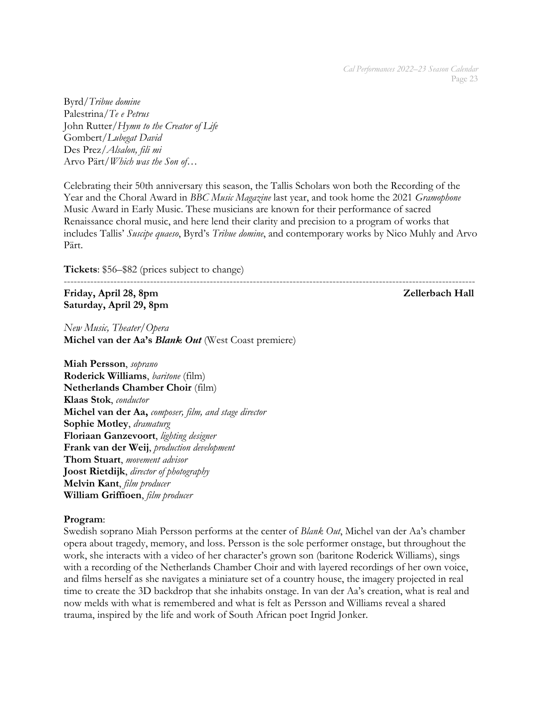Byrd/*Tribue domine* Palestrina/*Te e Petrus* John Rutter/*Hymn to the Creator of Life* Gombert/*Lubegat David* Des Prez/*Alsalon, fili mi* Arvo Pärt/*Which was the Son of…*

Celebrating their 50th anniversary this season, the Tallis Scholars won both the Recording of the Year and the Choral Award in *BBC Music Magazine* last year, and took home the 2021 *Gramophone* Music Award in Early Music. These musicians are known for their performance of sacred Renaissance choral music, and here lend their clarity and precision to a program of works that includes Tallis' *Suscipe quaeso*, Byrd's *Tribue domine*, and contemporary works by Nico Muhly and Arvo Pärt.

**Tickets**: \$56–\$82 (prices subject to change)

---------------------------------------------------------------------------------------------------------------------------- **Friday, April 28, 8pm**  $Z$ ellerbach Hall **Saturday, April 29, 8pm**

*New Music, Theater/Opera* **Michel van der Aa's** *Blank Out* (West Coast premiere)

**Miah Persson**, *soprano* **Roderick Williams**, *baritone* (film) **Netherlands Chamber Choir** (film) **Klaas Stok**, *conductor* **Michel van der Aa,** *composer, film, and stage director* **Sophie Motley**, *dramaturg* **Floriaan Ganzevoort**, *lighting designer* **Frank van der Weij**, *production development* **Thom Stuart**, *movement advisor* **Joost Rietdijk**, *director of photography* **Melvin Kant**, *film producer* **William Griffioen**, *film producer*

### **Program**:

Swedish soprano Miah Persson performs at the center of *Blank Out*, Michel van der Aa's chamber opera about tragedy, memory, and loss. Persson is the sole performer onstage, but throughout the work, she interacts with a video of her character's grown son (baritone Roderick Williams), sings with a recording of the Netherlands Chamber Choir and with layered recordings of her own voice, and films herself as she navigates a miniature set of a country house, the imagery projected in real time to create the 3D backdrop that she inhabits onstage. In van der Aa's creation, what is real and now melds with what is remembered and what is felt as Persson and Williams reveal a shared trauma, inspired by the life and work of South African poet Ingrid Jonker.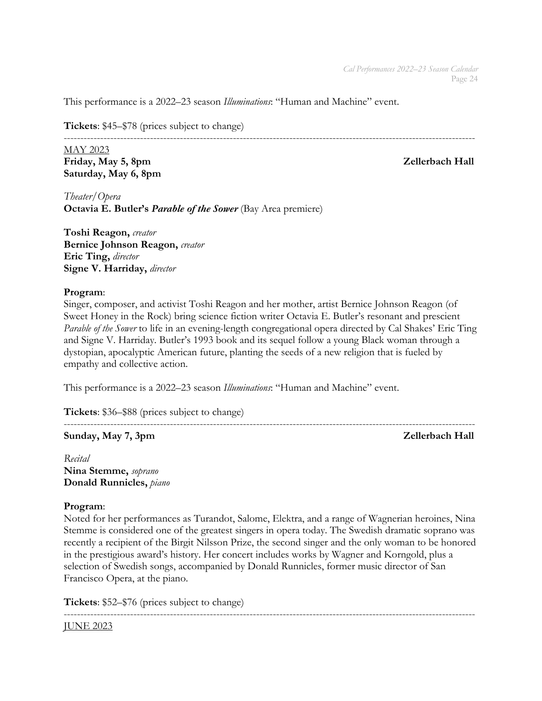This performance is a 2022–23 season *Illuminations*: "Human and Machine" event.

**Tickets**: \$45–\$78 (prices subject to change)

----------------------------------------------------------------------------------------------------------------------------

MAY 2023 Friday, May 5, 8pm **Zellerbach Hall Saturday, May 6, 8pm**

*Theater/Opera* **Octavia E. Butler's** *Parable of the Sower* (Bay Area premiere)

**Toshi Reagon,** *creator* **Bernice Johnson Reagon,** *creator* **Eric Ting,** *director* **Signe V. Harriday,** *director*

### **Program**:

Singer, composer, and activist Toshi Reagon and her mother, artist Bernice Johnson Reagon (of Sweet Honey in the Rock) bring science fiction writer Octavia E. Butler's resonant and prescient *Parable of the Sower* to life in an evening-length congregational opera directed by Cal Shakes' Eric Ting and Signe V. Harriday. Butler's 1993 book and its sequel follow a young Black woman through a dystopian, apocalyptic American future, planting the seeds of a new religion that is fueled by empathy and collective action.

This performance is a 2022–23 season *Illuminations*: "Human and Machine" event.

**Tickets**: \$36–\$88 (prices subject to change)

### ---------------------------------------------------------------------------------------------------------------------------- **Sunday, May 7, 3pm Zellerbach Hall**

*Recital* **Nina Stemme,** *soprano* **Donald Runnicles,** *piano*

# **Program**:

Noted for her performances as Turandot, Salome, Elektra, and a range of Wagnerian heroines, Nina Stemme is considered one of the greatest singers in opera today. The Swedish dramatic soprano was recently a recipient of the Birgit Nilsson Prize, the second singer and the only woman to be honored in the prestigious award's history. Her concert includes works by Wagner and Korngold, plus a selection of Swedish songs, accompanied by Donald Runnicles, former music director of San Francisco Opera, at the piano.

**Tickets**: \$52–\$76 (prices subject to change)

----------------------------------------------------------------------------------------------------------------------------

### JUNE 2023